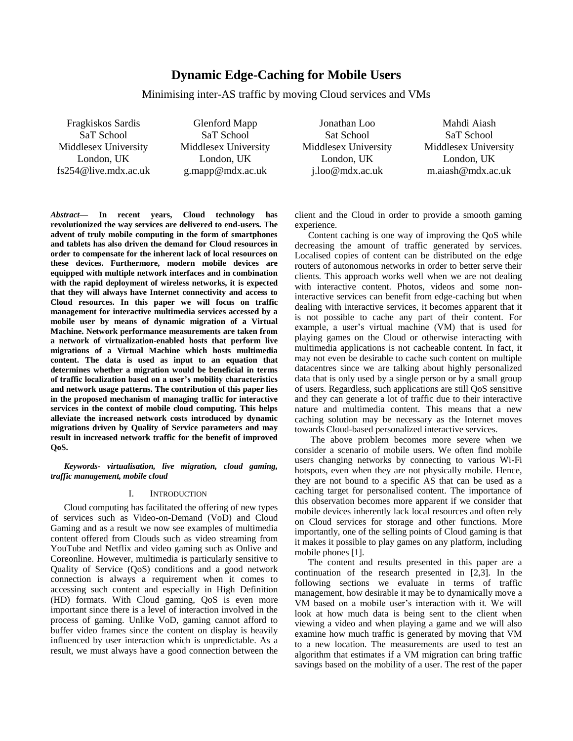# **Dynamic Edge-Caching for Mobile Users**

Minimising inter-AS traffic by moving Cloud services and VMs

Fragkiskos Sardis SaT School Middlesex University London, UK fs254@live.mdx.ac.uk

Glenford Mapp SaT School Middlesex University London, UK g.mapp@mdx.ac.uk

Jonathan Loo Sat School Middlesex University London, UK j.loo@mdx.ac.uk

Mahdi Aiash SaT School Middlesex University London, UK m.aiash@mdx.ac.uk

*Abstract***— In recent years, Cloud technology has revolutionized the way services are delivered to end-users. The advent of truly mobile computing in the form of smartphones and tablets has also driven the demand for Cloud resources in order to compensate for the inherent lack of local resources on these devices. Furthermore, modern mobile devices are equipped with multiple network interfaces and in combination with the rapid deployment of wireless networks, it is expected that they will always have Internet connectivity and access to Cloud resources. In this paper we will focus on traffic management for interactive multimedia services accessed by a mobile user by means of dynamic migration of a Virtual Machine. Network performance measurements are taken from a network of virtualization-enabled hosts that perform live migrations of a Virtual Machine which hosts multimedia content. The data is used as input to an equation that determines whether a migration would be beneficial in terms of traffic localization based on a user's mobility characteristics and network usage patterns. The contribution of this paper lies in the proposed mechanism of managing traffic for interactive services in the context of mobile cloud computing. This helps alleviate the increased network costs introduced by dynamic migrations driven by Quality of Service parameters and may result in increased network traffic for the benefit of improved QoS.**

*Keywords- virtualisation, live migration, cloud gaming, traffic management, mobile cloud*

#### I. INTRODUCTION

Cloud computing has facilitated the offering of new types of services such as Video-on-Demand (VoD) and Cloud Gaming and as a result we now see examples of multimedia content offered from Clouds such as video streaming from YouTube and Netflix and video gaming such as Onlive and Coreonline. However, multimedia is particularly sensitive to Quality of Service (QoS) conditions and a good network connection is always a requirement when it comes to accessing such content and especially in High Definition (HD) formats. With Cloud gaming, QoS is even more important since there is a level of interaction involved in the process of gaming. Unlike VoD, gaming cannot afford to buffer video frames since the content on display is heavily influenced by user interaction which is unpredictable. As a result, we must always have a good connection between the

client and the Cloud in order to provide a smooth gaming experience.

Content caching is one way of improving the QoS while decreasing the amount of traffic generated by services. Localised copies of content can be distributed on the edge routers of autonomous networks in order to better serve their clients. This approach works well when we are not dealing with interactive content. Photos, videos and some noninteractive services can benefit from edge-caching but when dealing with interactive services, it becomes apparent that it is not possible to cache any part of their content. For example, a user's virtual machine (VM) that is used for playing games on the Cloud or otherwise interacting with multimedia applications is not cacheable content. In fact, it may not even be desirable to cache such content on multiple datacentres since we are talking about highly personalized data that is only used by a single person or by a small group of users. Regardless, such applications are still QoS sensitive and they can generate a lot of traffic due to their interactive nature and multimedia content. This means that a new caching solution may be necessary as the Internet moves towards Cloud-based personalized interactive services.

The above problem becomes more severe when we consider a scenario of mobile users. We often find mobile users changing networks by connecting to various Wi-Fi hotspots, even when they are not physically mobile. Hence, they are not bound to a specific AS that can be used as a caching target for personalised content. The importance of this observation becomes more apparent if we consider that mobile devices inherently lack local resources and often rely on Cloud services for storage and other functions. More importantly, one of the selling points of Cloud gaming is that it makes it possible to play games on any platform, including mobile phones [1].

The content and results presented in this paper are a continuation of the research presented in [2,3]. In the following sections we evaluate in terms of traffic management, how desirable it may be to dynamically move a VM based on a mobile user's interaction with it. We will look at how much data is being sent to the client when viewing a video and when playing a game and we will also examine how much traffic is generated by moving that VM to a new location. The measurements are used to test an algorithm that estimates if a VM migration can bring traffic savings based on the mobility of a user. The rest of the paper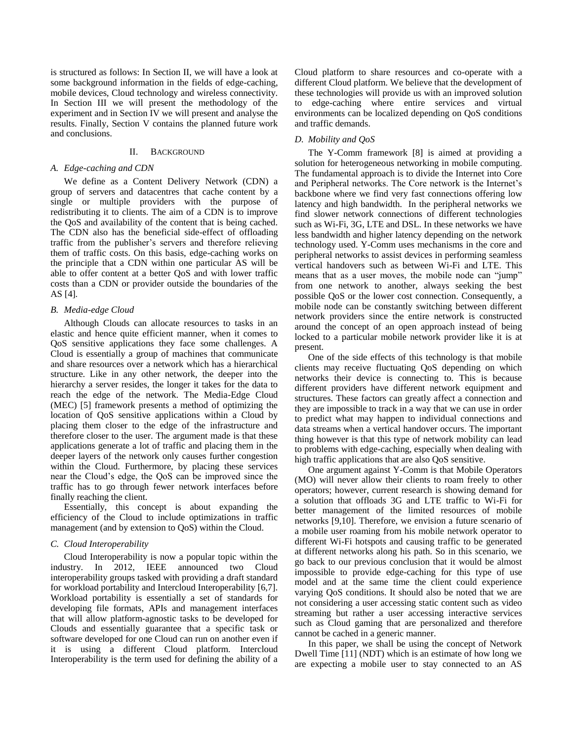is structured as follows: In Section II, we will have a look at some background information in the fields of edge-caching, mobile devices, Cloud technology and wireless connectivity. In Section III we will present the methodology of the experiment and in Section IV we will present and analyse the results. Finally, Section V contains the planned future work and conclusions.

### II. BACKGROUND

# *A. Edge-caching and CDN*

We define as a Content Delivery Network (CDN) a group of servers and datacentres that cache content by a single or multiple providers with the purpose of redistributing it to clients. The aim of a CDN is to improve the QoS and availability of the content that is being cached. The CDN also has the beneficial side-effect of offloading traffic from the publisher's servers and therefore relieving them of traffic costs. On this basis, edge-caching works on the principle that a CDN within one particular AS will be able to offer content at a better QoS and with lower traffic costs than a CDN or provider outside the boundaries of the AS [4].

#### *B. Media-edge Cloud*

Although Clouds can allocate resources to tasks in an elastic and hence quite efficient manner, when it comes to QoS sensitive applications they face some challenges. A Cloud is essentially a group of machines that communicate and share resources over a network which has a hierarchical structure. Like in any other network, the deeper into the hierarchy a server resides, the longer it takes for the data to reach the edge of the network. The Media-Edge Cloud (MEC) [5] framework presents a method of optimizing the location of QoS sensitive applications within a Cloud by placing them closer to the edge of the infrastructure and therefore closer to the user. The argument made is that these applications generate a lot of traffic and placing them in the deeper layers of the network only causes further congestion within the Cloud. Furthermore, by placing these services near the Cloud's edge, the QoS can be improved since the traffic has to go through fewer network interfaces before finally reaching the client.

Essentially, this concept is about expanding the efficiency of the Cloud to include optimizations in traffic management (and by extension to QoS) within the Cloud.

### *C. Cloud Interoperability*

Cloud Interoperability is now a popular topic within the industry. In 2012, IEEE announced two Cloud interoperability groups tasked with providing a draft standard for workload portability and Intercloud Interoperability [6,7]. Workload portability is essentially a set of standards for developing file formats, APIs and management interfaces that will allow platform-agnostic tasks to be developed for Clouds and essentially guarantee that a specific task or software developed for one Cloud can run on another even if it is using a different Cloud platform. Intercloud Interoperability is the term used for defining the ability of a Cloud platform to share resources and co-operate with a different Cloud platform. We believe that the development of these technologies will provide us with an improved solution to edge-caching where entire services and virtual environments can be localized depending on QoS conditions and traffic demands.

## *D. Mobility and QoS*

The Y-Comm framework [8] is aimed at providing a solution for heterogeneous networking in mobile computing. The fundamental approach is to divide the Internet into Core and Peripheral networks. The Core network is the Internet's backbone where we find very fast connections offering low latency and high bandwidth. In the peripheral networks we find slower network connections of different technologies such as Wi-Fi, 3G, LTE and DSL. In these networks we have less bandwidth and higher latency depending on the network technology used. Y-Comm uses mechanisms in the core and peripheral networks to assist devices in performing seamless vertical handovers such as between Wi-Fi and LTE. This means that as a user moves, the mobile node can "jump" from one network to another, always seeking the best possible QoS or the lower cost connection. Consequently, a mobile node can be constantly switching between different network providers since the entire network is constructed around the concept of an open approach instead of being locked to a particular mobile network provider like it is at present.

One of the side effects of this technology is that mobile clients may receive fluctuating QoS depending on which networks their device is connecting to. This is because different providers have different network equipment and structures. These factors can greatly affect a connection and they are impossible to track in a way that we can use in order to predict what may happen to individual connections and data streams when a vertical handover occurs. The important thing however is that this type of network mobility can lead to problems with edge-caching, especially when dealing with high traffic applications that are also QoS sensitive.

One argument against Y-Comm is that Mobile Operators (MO) will never allow their clients to roam freely to other operators; however, current research is showing demand for a solution that offloads 3G and LTE traffic to Wi-Fi for better management of the limited resources of mobile networks [9,10]. Therefore, we envision a future scenario of a mobile user roaming from his mobile network operator to different Wi-Fi hotspots and causing traffic to be generated at different networks along his path. So in this scenario, we go back to our previous conclusion that it would be almost impossible to provide edge-caching for this type of use model and at the same time the client could experience varying QoS conditions. It should also be noted that we are not considering a user accessing static content such as video streaming but rather a user accessing interactive services such as Cloud gaming that are personalized and therefore cannot be cached in a generic manner.

In this paper, we shall be using the concept of Network Dwell Time [11] (NDT) which is an estimate of how long we are expecting a mobile user to stay connected to an AS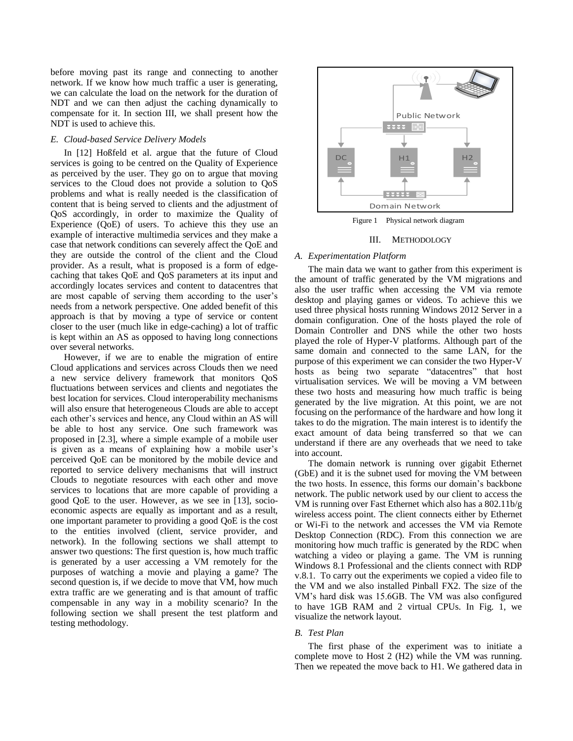before moving past its range and connecting to another network. If we know how much traffic a user is generating, we can calculate the load on the network for the duration of NDT and we can then adjust the caching dynamically to compensate for it. In section III, we shall present how the NDT is used to achieve this.

# *E. Cloud-based Service Delivery Models*

In [12] Hoßfeld et al. argue that the future of Cloud services is going to be centred on the Quality of Experience as perceived by the user. They go on to argue that moving services to the Cloud does not provide a solution to QoS problems and what is really needed is the classification of content that is being served to clients and the adjustment of QoS accordingly, in order to maximize the Quality of Experience (QoE) of users. To achieve this they use an example of interactive multimedia services and they make a case that network conditions can severely affect the QoE and they are outside the control of the client and the Cloud provider. As a result, what is proposed is a form of edgecaching that takes QoE and QoS parameters at its input and accordingly locates services and content to datacentres that are most capable of serving them according to the user's needs from a network perspective. One added benefit of this approach is that by moving a type of service or content closer to the user (much like in edge-caching) a lot of traffic is kept within an AS as opposed to having long connections over several networks.

However, if we are to enable the migration of entire Cloud applications and services across Clouds then we need a new service delivery framework that monitors QoS fluctuations between services and clients and negotiates the best location for services. Cloud interoperability mechanisms will also ensure that heterogeneous Clouds are able to accept each other's services and hence, any Cloud within an AS will be able to host any service. One such framework was proposed in [2.3], where a simple example of a mobile user is given as a means of explaining how a mobile user's perceived QoE can be monitored by the mobile device and reported to service delivery mechanisms that will instruct Clouds to negotiate resources with each other and move services to locations that are more capable of providing a good QoE to the user. However, as we see in [13], socioeconomic aspects are equally as important and as a result, one important parameter to providing a good QoE is the cost to the entities involved (client, service provider, and network). In the following sections we shall attempt to answer two questions: The first question is, how much traffic is generated by a user accessing a VM remotely for the purposes of watching a movie and playing a game? The second question is, if we decide to move that VM, how much extra traffic are we generating and is that amount of traffic compensable in any way in a mobility scenario? In the following section we shall present the test platform and testing methodology.



Figure 1 Physical network diagram

#### III. METHODOLOGY

# *A. Experimentation Platform*

The main data we want to gather from this experiment is the amount of traffic generated by the VM migrations and also the user traffic when accessing the VM via remote desktop and playing games or videos. To achieve this we used three physical hosts running Windows 2012 Server in a domain configuration. One of the hosts played the role of Domain Controller and DNS while the other two hosts played the role of Hyper-V platforms. Although part of the same domain and connected to the same LAN, for the purpose of this experiment we can consider the two Hyper-V hosts as being two separate "datacentres" that host virtualisation services. We will be moving a VM between these two hosts and measuring how much traffic is being generated by the live migration. At this point, we are not focusing on the performance of the hardware and how long it takes to do the migration. The main interest is to identify the exact amount of data being transferred so that we can understand if there are any overheads that we need to take into account.

The domain network is running over gigabit Ethernet (GbE) and it is the subnet used for moving the VM between the two hosts. In essence, this forms our domain's backbone network. The public network used by our client to access the VM is running over Fast Ethernet which also has a 802.11b/g wireless access point. The client connects either by Ethernet or Wi-Fi to the network and accesses the VM via Remote Desktop Connection (RDC). From this connection we are monitoring how much traffic is generated by the RDC when watching a video or playing a game. The VM is running Windows 8.1 Professional and the clients connect with RDP v.8.1. To carry out the experiments we copied a video file to the VM and we also installed Pinball FX2. The size of the VM's hard disk was 15.6GB. The VM was also configured to have 1GB RAM and 2 virtual CPUs. In Fig. 1, we visualize the network layout.

# *B. Test Plan*

The first phase of the experiment was to initiate a complete move to Host 2 (H2) while the VM was running. Then we repeated the move back to H1. We gathered data in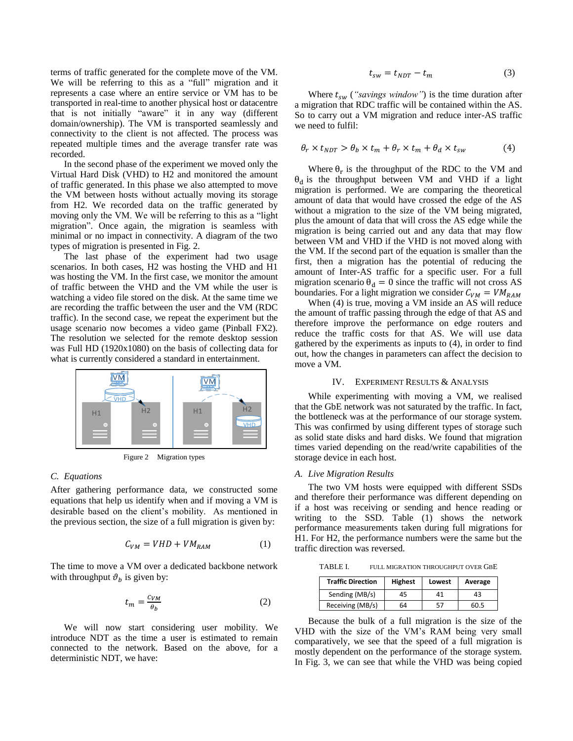terms of traffic generated for the complete move of the VM. We will be referring to this as a "full" migration and it represents a case where an entire service or VM has to be transported in real-time to another physical host or datacentre that is not initially "aware" it in any way (different domain/ownership). The VM is transported seamlessly and connectivity to the client is not affected. The process was repeated multiple times and the average transfer rate was recorded.

In the second phase of the experiment we moved only the Virtual Hard Disk (VHD) to H2 and monitored the amount of traffic generated. In this phase we also attempted to move the VM between hosts without actually moving its storage from H2. We recorded data on the traffic generated by moving only the VM. We will be referring to this as a "light migration". Once again, the migration is seamless with minimal or no impact in connectivity. A diagram of the two types of migration is presented in Fig. 2.

The last phase of the experiment had two usage scenarios. In both cases, H2 was hosting the VHD and H1 was hosting the VM. In the first case, we monitor the amount of traffic between the VHD and the VM while the user is watching a video file stored on the disk. At the same time we are recording the traffic between the user and the VM (RDC traffic). In the second case, we repeat the experiment but the usage scenario now becomes a video game (Pinball FX2). The resolution we selected for the remote desktop session was Full HD (1920x1080) on the basis of collecting data for what is currently considered a standard in entertainment.



Figure 2 Migration types

### *C. Equations*

After gathering performance data, we constructed some equations that help us identify when and if moving a VM is desirable based on the client's mobility. As mentioned in the previous section, the size of a full migration is given by:

$$
C_{VM} = VHD + VM_{RAM} \tag{1}
$$

The time to move a VM over a dedicated backbone network with throughput  $\vartheta_h$  is given by:

$$
t_m = \frac{c_{VM}}{\theta_b} \tag{2}
$$

We will now start considering user mobility. We introduce NDT as the time a user is estimated to remain connected to the network. Based on the above, for a deterministic NDT, we have:

$$
t_{sw} = t_{NDT} - t_m \tag{3}
$$

Where  $t_{sw}$  (*"savings window"*) is the time duration after a migration that RDC traffic will be contained within the AS. So to carry out a VM migration and reduce inter-AS traffic we need to fulfil:

$$
\theta_r \times t_{NDT} > \theta_b \times t_m + \theta_r \times t_m + \theta_d \times t_{sw}
$$
 (4)

Where  $\theta_r$  is the throughput of the RDC to the VM and  $\theta_d$  is the throughput between VM and VHD if a light migration is performed. We are comparing the theoretical amount of data that would have crossed the edge of the AS without a migration to the size of the VM being migrated, plus the amount of data that will cross the AS edge while the migration is being carried out and any data that may flow between VM and VHD if the VHD is not moved along with the VM. If the second part of the equation is smaller than the first, then a migration has the potential of reducing the amount of Inter-AS traffic for a specific user. For a full migration scenario  $\theta_d = 0$  since the traffic will not cross AS boundaries. For a light migration we consider  $C_{VM} = VM_{RAM}$ 

When (4) is true, moving a VM inside an AS will reduce the amount of traffic passing through the edge of that AS and therefore improve the performance on edge routers and reduce the traffic costs for that AS. We will use data gathered by the experiments as inputs to (4), in order to find out, how the changes in parameters can affect the decision to move a VM.

#### IV. EXPERIMENT RESULTS & ANALYSIS

While experimenting with moving a VM, we realised that the GbE network was not saturated by the traffic. In fact, the bottleneck was at the performance of our storage system. This was confirmed by using different types of storage such as solid state disks and hard disks. We found that migration times varied depending on the read/write capabilities of the storage device in each host.

#### *A. Live Migration Results*

The two VM hosts were equipped with different SSDs and therefore their performance was different depending on if a host was receiving or sending and hence reading or writing to the SSD. Table (1) shows the network performance measurements taken during full migrations for H1. For H2, the performance numbers were the same but the traffic direction was reversed.

TABLE I. FULL MIGRATION THROUGHPUT OVER GBE

| <b>Traffic Direction</b> | <b>Highest</b> | Lowest | Average |  |
|--------------------------|----------------|--------|---------|--|
| Sending (MB/s)           | 45             | 41     | 43      |  |
| Receiving (MB/s)         | 64             | 57     | 60.5    |  |

Because the bulk of a full migration is the size of the VHD with the size of the VM's RAM being very small comparatively, we see that the speed of a full migration is mostly dependent on the performance of the storage system. In Fig. 3, we can see that while the VHD was being copied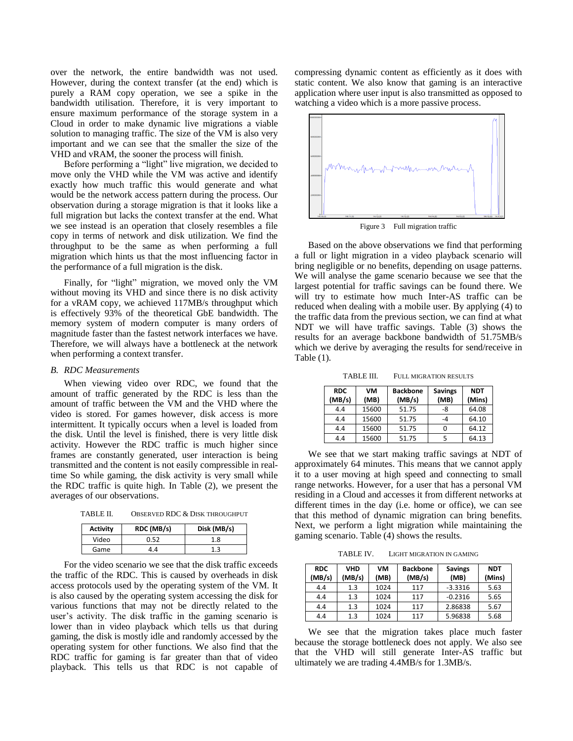over the network, the entire bandwidth was not used. However, during the context transfer (at the end) which is purely a RAM copy operation, we see a spike in the bandwidth utilisation. Therefore, it is very important to ensure maximum performance of the storage system in a Cloud in order to make dynamic live migrations a viable solution to managing traffic. The size of the VM is also very important and we can see that the smaller the size of the VHD and vRAM, the sooner the process will finish.

Before performing a "light" live migration, we decided to move only the VHD while the VM was active and identify exactly how much traffic this would generate and what would be the network access pattern during the process. Our observation during a storage migration is that it looks like a full migration but lacks the context transfer at the end. What we see instead is an operation that closely resembles a file copy in terms of network and disk utilization. We find the throughput to be the same as when performing a full migration which hints us that the most influencing factor in the performance of a full migration is the disk.

Finally, for "light" migration, we moved only the VM without moving its VHD and since there is no disk activity for a vRAM copy, we achieved 117MB/s throughput which is effectively 93% of the theoretical GbE bandwidth. The memory system of modern computer is many orders of magnitude faster than the fastest network interfaces we have. Therefore, we will always have a bottleneck at the network when performing a context transfer.

### *B. RDC Measurements*

When viewing video over RDC, we found that the amount of traffic generated by the RDC is less than the amount of traffic between the VM and the VHD where the video is stored. For games however, disk access is more intermittent. It typically occurs when a level is loaded from the disk. Until the level is finished, there is very little disk activity. However the RDC traffic is much higher since frames are constantly generated, user interaction is being transmitted and the content is not easily compressible in realtime So while gaming, the disk activity is very small while the RDC traffic is quite high. In Table (2), we present the averages of our observations.

TABLE II. OBSERVED RDC & DISK THROUGHPUT

| <b>Activity</b> | RDC (MB/s) | Disk (MB/s) |  |
|-----------------|------------|-------------|--|
| Video           | 0.52       | 1.8         |  |
| Game            | 1.4        | 1.3         |  |

For the video scenario we see that the disk traffic exceeds the traffic of the RDC. This is caused by overheads in disk access protocols used by the operating system of the VM. It is also caused by the operating system accessing the disk for various functions that may not be directly related to the user's activity. The disk traffic in the gaming scenario is lower than in video playback which tells us that during gaming, the disk is mostly idle and randomly accessed by the operating system for other functions. We also find that the RDC traffic for gaming is far greater than that of video playback. This tells us that RDC is not capable of

compressing dynamic content as efficiently as it does with static content. We also know that gaming is an interactive application where user input is also transmitted as opposed to watching a video which is a more passive process.



Figure 3 Full migration traffic

Based on the above observations we find that performing a full or light migration in a video playback scenario will bring negligible or no benefits, depending on usage patterns. We will analyse the game scenario because we see that the largest potential for traffic savings can be found there. We will try to estimate how much Inter-AS traffic can be reduced when dealing with a mobile user. By applying (4) to the traffic data from the previous section, we can find at what NDT we will have traffic savings. Table (3) shows the results for an average backbone bandwidth of 51.75MB/s which we derive by averaging the results for send/receive in Table (1).

TABLE III. FULL MIGRATION RESULTS

| <b>RDC</b><br>(MB/s) | VM<br>(MB) | <b>Backbone</b><br>(MB/s) | <b>Savings</b><br>(MB) | <b>NDT</b><br>(Mins) |
|----------------------|------------|---------------------------|------------------------|----------------------|
| 4.4                  | 15600      | 51.75                     | -8                     | 64.08                |
| 4.4                  | 15600      | 51.75                     | -4                     | 64.10                |
| 4.4                  | 15600      | 51.75                     |                        | 64.12                |
| 4.4                  | 15600      | 51.75                     |                        | 64.13                |

We see that we start making traffic savings at NDT of approximately 64 minutes. This means that we cannot apply it to a user moving at high speed and connecting to small range networks. However, for a user that has a personal VM residing in a Cloud and accesses it from different networks at different times in the day (i.e. home or office), we can see that this method of dynamic migration can bring benefits. Next, we perform a light migration while maintaining the gaming scenario. Table (4) shows the results.

TABLE IV. LIGHT MIGRATION IN GAMING

| <b>RDC</b><br>(MB/s) | <b>VHD</b><br>(MB/s) | VМ<br>(MB) | <b>Backbone</b><br>(MB/s) | <b>Savings</b><br>(MB) | <b>NDT</b><br>(Mins) |
|----------------------|----------------------|------------|---------------------------|------------------------|----------------------|
| 4.4                  | 1.3                  | 1024       | 117                       | $-3.3316$              | 5.63                 |
| 4.4                  | 1.3                  | 1024       | 117                       | $-0.2316$              | 5.65                 |
| 4.4                  | 1.3                  | 1024       | 117                       | 2.86838                | 5.67                 |
| 4.4                  | 1.3                  | 1024       | 117                       | 5.96838                | 5.68                 |

We see that the migration takes place much faster because the storage bottleneck does not apply. We also see that the VHD will still generate Inter-AS traffic but ultimately we are trading 4.4MB/s for 1.3MB/s.